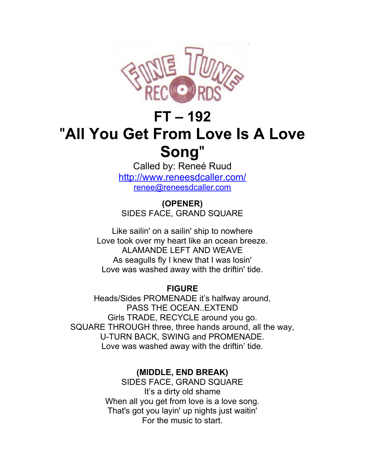

## **FT – 192** "**All You Get From Love Is A Love Song**"

Called by: Reneé Ruud <http://www.reneesdcaller.com/> [renee@reneesdcaller.com](mailto:renee@reneesdcaller.com)

**(OPENER)** SIDES FACE, GRAND SQUARE

Like sailin' on a sailin' ship to nowhere Love took over my heart like an ocean breeze. ALAMANDE LEFT AND WEAVE As seagulls fly I knew that I was losin' Love was washed away with the driftin' tide.

## **FIGURE**

Heads/Sides PROMENADE it's halfway around, PASS THE OCEAN..EXTEND Girls TRADE, RECYCLE around you go. SQUARE THROUGH three, three hands around, all the way, U-TURN BACK, SWING and PROMENADE. Love was washed away with the driftin' tide.

## **(MIDDLE, END BREAK)**

SIDES FACE, GRAND SQUARE It's a dirty old shame When all you get from love is a love song. That's got you layin' up nights just waitin' For the music to start.